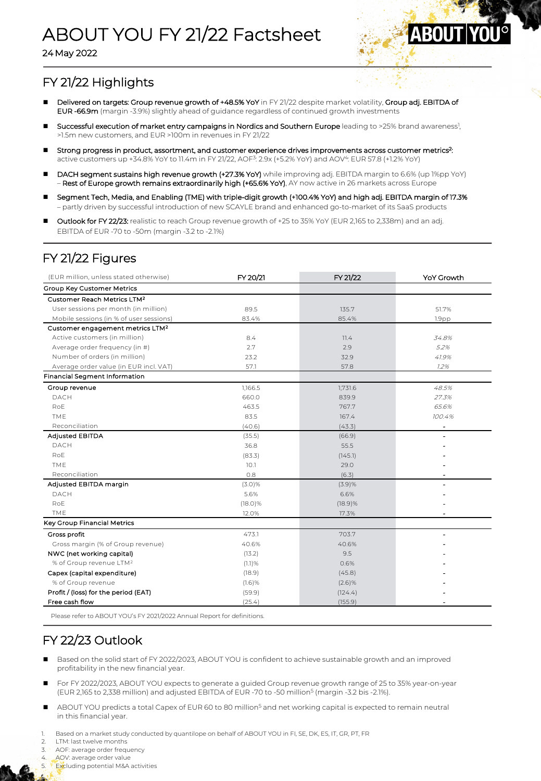# ABOUT YOU FY 21/22 Factsheet

24 May 2022



## FY 21/22 Highlights

- Delivered on targets: Group revenue growth of +48.5% YoY in FY 21/22 despite market volatility, Group adj. EBITDA of EUR -66.9m (margin -3.9%) slightly ahead of guidance regardless of continued growth investments
- **n Successful execution of market entry campaigns in Nordics and Southern Europe** leading to >25% brand awareness<sup>1</sup>, >1.5m new customers, and EUR >100m in revenues in FY 21/22
- Strong progress in product, assortment, and customer experience drives improvements across customer metrics<sup>2</sup>: active customers up +34.8% YoY to 11.4m in FY 21/22, AOF3: 2.9x (+5.2% YoY) and AOV4: EUR 57.8 (+1.2% YoY)
- DACH segment sustains high revenue growth (+27.3% YoY) while improving adj. EBITDA margin to 6.6% (up 1%pp YoY) – Rest of Europe growth remains extraordinarily high (+65.6% YoY), AY now active in 26 markets across Europe
- n Segment Tech, Media, and Enabling (TME) with triple-digit growth (+100.4% YoY) and high adj. EBITDA margin of 17.3% – partly driven by successful introduction of new SCAYLE brand and enhanced go-to-market of its SaaS products
- Outlook for FY 22/23: realistic to reach Group revenue growth of +25 to 35% YoY (EUR 2,165 to 2,338m) and an adj. EBITDA of EUR -70 to -50m (margin -3.2 to -2.1%)

#### FY 21/22 Figures

| (EUR million, unless stated otherwise)       | FY 20/21   | FY 21/22   | <b>YoY Growth</b>        |
|----------------------------------------------|------------|------------|--------------------------|
| Group Key Customer Metrics                   |            |            |                          |
| Customer Reach Metrics LTM <sup>2</sup>      |            |            |                          |
| User sessions per month (in million)         | 89.5       | 135.7      | 51.7%                    |
| Mobile sessions (in % of user sessions)      | 83.4%      | 85.4%      | 1.9 <sub>pp</sub>        |
| Customer engagement metrics LTM <sup>2</sup> |            |            |                          |
| Active customers (in million)                | 8.4        | 11.4       | 34.8%                    |
| Average order frequency (in #)               | 2.7        | 2.9        | 5.2%                     |
| Number of orders (in million)                | 23.2       | 32.9       | 41.9%                    |
| Average order value (in EUR incl. VAT)       | 57.1       | 57.8       | 1.2%                     |
| Financial Segment Information                |            |            |                          |
| Group revenue                                | 1,166.5    | 1,731.6    | 48.5%                    |
| <b>DACH</b>                                  | 660.0      | 839.9      | 27.3%                    |
| RoE                                          | 463.5      | 767.7      | 65.6%                    |
| TME                                          | 83.5       | 167.4      | 100.4%                   |
| Reconciliation                               | (40.6)     | (43.3)     | $\overline{\phantom{m}}$ |
| <b>Adjusted EBITDA</b>                       | (35.5)     | (66.9)     | $\overline{\phantom{a}}$ |
| DACH                                         | 36.8       | 55.5       |                          |
| RoE                                          | (83.3)     | (145.1)    |                          |
| TME                                          | 10.1       | 29.0       |                          |
| Reconciliation                               | 0.8        | (6.3)      |                          |
| Adjusted EBITDA margin                       | (3.0)%     | (3.9)%     |                          |
| DACH                                         | 5.6%       | 6.6%       |                          |
| RoE                                          | $(18.0)\%$ | $(18.9)$ % |                          |
| TME                                          | 12.0%      | 17.3%      |                          |
| Key Group Financial Metrics                  |            |            |                          |
| Gross profit                                 | 473.1      | 703.7      |                          |
| Gross margin (% of Group revenue)            | 40.6%      | 40.6%      |                          |
| NWC (net working capital)                    | (13.2)     | 9.5        |                          |
| % of Group revenue LTM <sup>2</sup>          | (1.1)%     | 0.6%       |                          |
| Capex (capital expenditure)                  | (18.9)     | (45.8)     |                          |
| % of Group revenue                           | (1.6)%     | (2.6)%     |                          |
| Profit / (loss) for the period (EAT)         | (59.9)     | (124.4)    |                          |
| Free cash flow                               | (25.4)     | (155.9)    |                          |

Please refer to ABOUT YOU's FY 2021/2022 Annual Report for definitions.

### FY 22/23 Outlook

- Based on the solid start of FY 2022/2023, ABOUT YOU is confident to achieve sustainable growth and an improved profitability in the new financial year.
- For FY 2022/2023, ABOUT YOU expects to generate a guided Group revenue growth range of 25 to 35% year-on-year (EUR 2,165 to 2,338 million) and adjusted EBITDA of EUR -70 to -50 million5 (margin -3.2 bis -2.1%).
- ABOUT YOU predicts a total Capex of EUR 60 to 80 million<sup>5</sup> and net working capital is expected to remain neutral in this financial year.

Based on a market study conducted by quantilope on behalf of ABOUT YOU in FI, SE, DK, ES, IT, GR, PT, FR

LTM: last twelve months

AOF: average order frequency

4. AOV: average order value

Excluding potential M&A activities